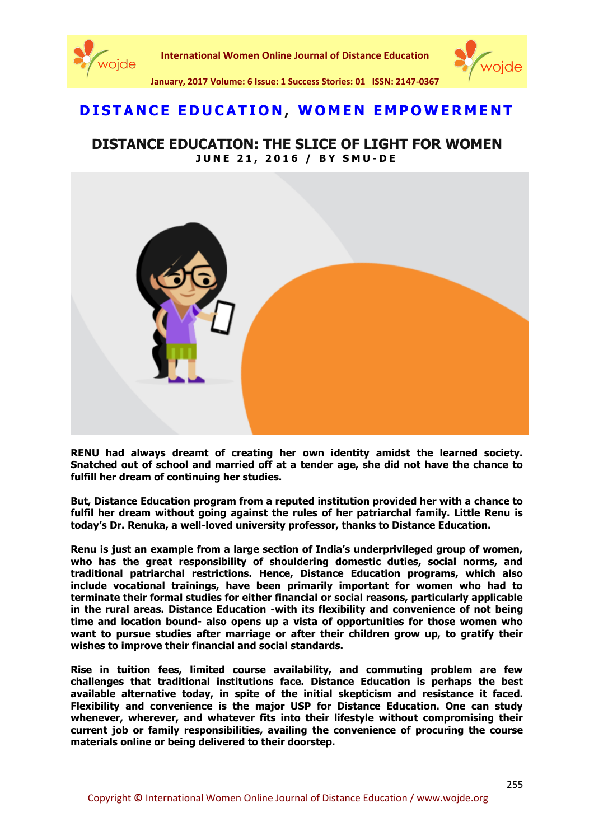

**International Women Online Journal of Distance Education**



**January, 2017 Volume: 6 Issue: 1 Success Stories: 01 ISSN: 2147-0367**

## **[D I S T A N C E E D U C A T I O N](http://blog.smude.edu.in/category/distance-education/) , [W O M E N E M P O W E R M E](http://blog.smude.edu.in/category/women-empowerment/) N T**

## **DISTANCE EDUCATION: THE SLICE OF LIGHT FOR WOMEN J U N E 2 1 , 2 0 1 6 / B Y [S M U](http://blog.smude.edu.in/author/smudeadmin/) - D E**



**RENU had always dreamt of creating her own identity amidst the learned society. Snatched out of school and married off at a tender age, she did not have the chance to fulfill her dream of continuing her studies.** 

**But, [Distance Education program](http://smude.edu.in/smude.html) from a reputed institution provided her with a chance to fulfil her dream without going against the rules of her patriarchal family. Little Renu is today's Dr. Renuka, a well-loved university professor, thanks to Distance Education.**

**Renu is just an example from a large section of India's underprivileged group of women, who has the great responsibility of shouldering domestic duties, social norms, and traditional patriarchal restrictions. Hence, Distance Education programs, which also include vocational trainings, have been primarily important for women who had to terminate their formal studies for either financial or social reasons, particularly applicable in the rural areas. Distance Education -with its flexibility and convenience of not being time and location bound- also opens up a vista of opportunities for those women who want to pursue studies after marriage or after their children grow up, to gratify their wishes to improve their financial and social standards.**

**Rise in tuition fees, limited course availability, and commuting problem are few challenges that traditional institutions face. Distance Education is perhaps the best available alternative today, in spite of the initial skepticism and resistance it faced. Flexibility and convenience is the major USP for Distance Education. One can study whenever, wherever, and whatever fits into their lifestyle without compromising their current job or family responsibilities, availing the convenience of procuring the course materials online or being delivered to their doorstep.**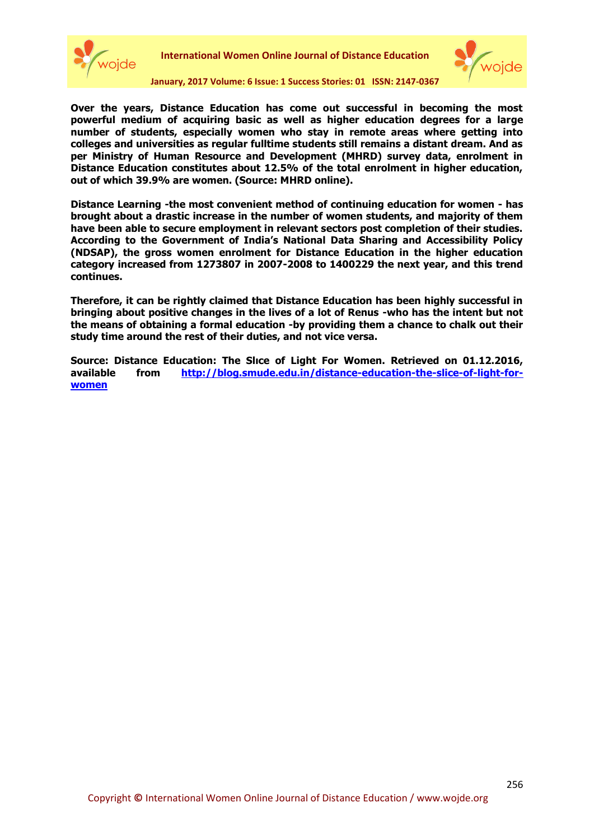



**January, 2017 Volume: 6 Issue: 1 Success Stories: 01 ISSN: 2147-0367**

**Over the years, Distance Education has come out successful in becoming the most powerful medium of acquiring basic as well as higher education degrees for a large number of students, especially women who stay in remote areas where getting into colleges and universities as regular fulltime students still remains a distant dream. And as per Ministry of Human Resource and Development (MHRD) survey data, enrolment in Distance Education constitutes about 12.5% of the total enrolment in higher education, out of which 39.9% are women. (Source: MHRD online).**

**Distance Learning -the most convenient method of continuing education for women - has brought about a drastic increase in the number of women students, and majority of them have been able to secure employment in relevant sectors post completion of their studies. According to the Government of India's National Data Sharing and Accessibility Policy (NDSAP), the gross women enrolment for Distance Education in the higher education category increased from 1273807 in 2007-2008 to 1400229 the next year, and this trend continues.**

**Therefore, it can be rightly claimed that Distance Education has been highly successful in bringing about positive changes in the lives of a lot of Renus -who has the intent but not the means of obtaining a formal education -by providing them a chance to chalk out their study time around the rest of their duties, and not vice versa.**

**Source: Distance Education: The Slıce of Light For Women. Retrieved on 01.12.2016, available from [http://blog.smude.edu.in/distance-education-the-slice-of-light-for](http://blog.smude.edu.in/distance-education-the-slice-of-light-for-women/)[women](http://blog.smude.edu.in/distance-education-the-slice-of-light-for-women/)**